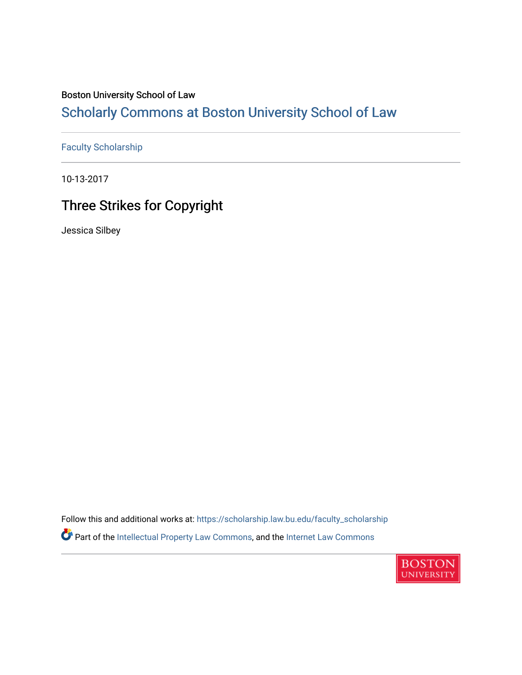## Boston University School of Law

## [Scholarly Commons at Boston University School of Law](https://scholarship.law.bu.edu/)

[Faculty Scholarship](https://scholarship.law.bu.edu/faculty_scholarship)

10-13-2017

## Three Strikes for Copyright

Jessica Silbey

Follow this and additional works at: [https://scholarship.law.bu.edu/faculty\\_scholarship](https://scholarship.law.bu.edu/faculty_scholarship?utm_source=scholarship.law.bu.edu%2Ffaculty_scholarship%2F1383&utm_medium=PDF&utm_campaign=PDFCoverPages) Part of the [Intellectual Property Law Commons,](http://network.bepress.com/hgg/discipline/896?utm_source=scholarship.law.bu.edu%2Ffaculty_scholarship%2F1383&utm_medium=PDF&utm_campaign=PDFCoverPages) and the [Internet Law Commons](http://network.bepress.com/hgg/discipline/892?utm_source=scholarship.law.bu.edu%2Ffaculty_scholarship%2F1383&utm_medium=PDF&utm_campaign=PDFCoverPages) 

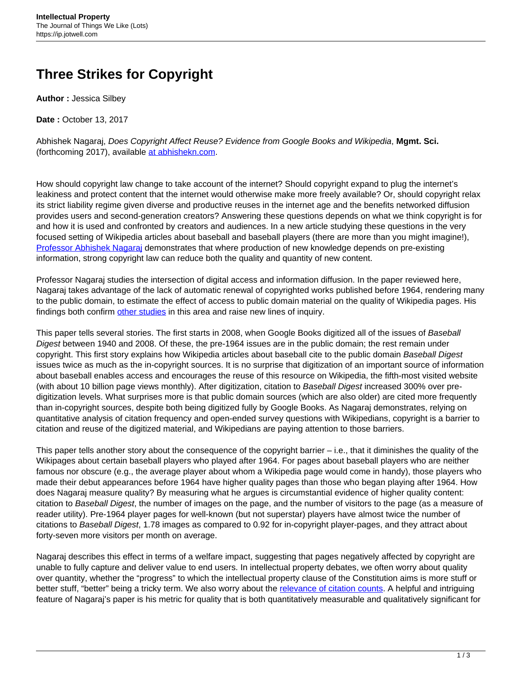## **Three Strikes for Copyright**

**Author :** Jessica Silbey

**Date :** October 13, 2017

Abhishek Nagaraj, Does Copyright Affect Reuse? Evidence from Google Books and Wikipedia, **Mgmt. Sci.** (forthcoming 2017), available [at abhishekn.com.](http://abhishekn.com/files/copyright_nagaraj.pdf)

How should copyright law change to take account of the internet? Should copyright expand to plug the internet's leakiness and protect content that the internet would otherwise make more freely available? Or, should copyright relax its strict liability regime given diverse and productive reuses in the internet age and the benefits networked diffusion provides users and second-generation creators? Answering these questions depends on what we think copyright is for and how it is used and confronted by creators and audiences. In a new article studying these questions in the very focused setting of Wikipedia articles about baseball and baseball players (there are more than you might imagine!), [Professor Abhishek Nagaraj](http://facultybio.haas.berkeley.edu/faculty-list/nagaraj-abhishek/) demonstrates that where production of new knowledge depends on pre-existing information, strong copyright law can reduce both the quality and quantity of new content.

Professor Nagaraj studies the intersection of digital access and information diffusion. In the paper reviewed here, Nagaraj takes advantage of the lack of automatic renewal of copyrighted works published before 1964, rendering many to the public domain, to estimate the effect of access to public domain material on the quality of Wikipedia pages. His findings both confirm [other studies](https://papers.ssrn.com/sol3/papers.cfm?abstract_id=2290181) in this area and raise new lines of inquiry.

This paper tells several stories. The first starts in 2008, when Google Books digitized all of the issues of Baseball Digest between 1940 and 2008. Of these, the pre-1964 issues are in the public domain; the rest remain under copyright. This first story explains how Wikipedia articles about baseball cite to the public domain Baseball Digest issues twice as much as the in-copyright sources. It is no surprise that digitization of an important source of information about baseball enables access and encourages the reuse of this resource on Wikipedia, the fifth-most visited website (with about 10 billion page views monthly). After digitization, citation to Baseball Digest increased 300% over predigitization levels. What surprises more is that public domain sources (which are also older) are cited more frequently than in-copyright sources, despite both being digitized fully by Google Books. As Nagaraj demonstrates, relying on quantitative analysis of citation frequency and open-ended survey questions with Wikipedians, copyright is a barrier to citation and reuse of the digitized material, and Wikipedians are paying attention to those barriers.

This paper tells another story about the consequence of the copyright barrier – i.e., that it diminishes the quality of the Wikipages about certain baseball players who played after 1964. For pages about baseball players who are neither famous nor obscure (e.g., the average player about whom a Wikipedia page would come in handy), those players who made their debut appearances before 1964 have higher quality pages than those who began playing after 1964. How does Nagaraj measure quality? By measuring what he argues is circumstantial evidence of higher quality content: citation to Baseball Digest, the number of images on the page, and the number of visitors to the page (as a measure of reader utility). Pre-1964 player pages for well-known (but not superstar) players have almost twice the number of citations to Baseball Digest, 1.78 images as compared to 0.92 for in-copyright player-pages, and they attract about forty-seven more visitors per month on average.

Nagaraj describes this effect in terms of a welfare impact, suggesting that pages negatively affected by copyright are unable to fully capture and deliver value to end users. In intellectual property debates, we often worry about quality over quantity, whether the "progress" to which the intellectual property clause of the Constitution aims is more stuff or better stuff, "better" being a tricky term. We also worry about the [relevance of citation counts](https://papers.ssrn.com/sol3/papers.cfm?abstract_id=1888191). A helpful and intriguing feature of Nagaraj's paper is his metric for quality that is both quantitatively measurable and qualitatively significant for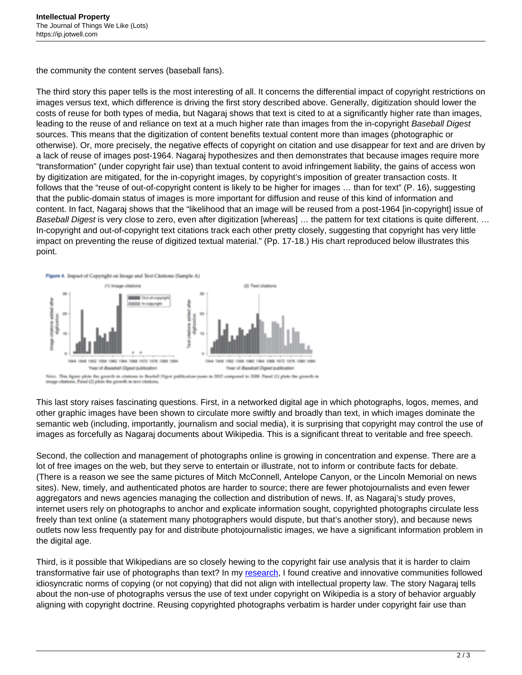the community the content serves (baseball fans).

The third story this paper tells is the most interesting of all. It concerns the differential impact of copyright restrictions on images versus text, which difference is driving the first story described above. Generally, digitization should lower the costs of reuse for both types of media, but Nagaraj shows that text is cited to at a significantly higher rate than images, leading to the reuse of and reliance on text at a much higher rate than images from the in-copyright Baseball Digest sources. This means that the digitization of content benefits textual content more than images (photographic or otherwise). Or, more precisely, the negative effects of copyright on citation and use disappear for text and are driven by a lack of reuse of images post-1964. Nagaraj hypothesizes and then demonstrates that because images require more "transformation" (under copyright fair use) than textual content to avoid infringement liability, the gains of access won by digitization are mitigated, for the in-copyright images, by copyright's imposition of greater transaction costs. It follows that the "reuse of out-of-copyright content is likely to be higher for images … than for text" (P. 16), suggesting that the public-domain status of images is more important for diffusion and reuse of this kind of information and content. In fact, Nagaraj shows that the "likelihood that an image will be reused from a post-1964 [in-copyright] issue of Baseball Digest is very close to zero, even after digitization [whereas] ... the pattern for text citations is quite different. ... In-copyright and out-of-copyright text citations track each other pretty closely, suggesting that copyright has very little impact on preventing the reuse of digitized textual material." (Pp. 17-18.) His chart reproduced below illustrates this point.



This last story raises fascinating questions. First, in a networked digital age in which photographs, logos, memes, and other graphic images have been shown to circulate more swiftly and broadly than text, in which images dominate the semantic web (including, importantly, journalism and social media), it is surprising that copyright may control the use of images as forcefully as Nagaraj documents about Wikipedia. This is a significant threat to veritable and free speech.

Second, the collection and management of photographs online is growing in concentration and expense. There are a lot of free images on the web, but they serve to entertain or illustrate, not to inform or contribute facts for debate. (There is a reason we see the same pictures of Mitch McConnell, Antelope Canyon, or the Lincoln Memorial on news sites). New, timely, and authenticated photos are harder to source; there are fewer photojournalists and even fewer aggregators and news agencies managing the collection and distribution of news. If, as Nagaraj's study proves, internet users rely on photographs to anchor and explicate information sought, copyrighted photographs circulate less freely than text online (a statement many photographers would dispute, but that's another story), and because news outlets now less frequently pay for and distribute photojournalistic images, we have a significant information problem in the digital age.

Third, is it possible that Wikipedians are so closely hewing to the copyright fair use analysis that it is harder to claim transformative fair use of photographs than text? In my [research,](http://www.sup.org/books/title/?id=20869) I found creative and innovative communities followed idiosyncratic norms of copying (or not copying) that did not align with intellectual property law. The story Nagaraj tells about the non-use of photographs versus the use of text under copyright on Wikipedia is a story of behavior arguably aligning with copyright doctrine. Reusing copyrighted photographs verbatim is harder under copyright fair use than